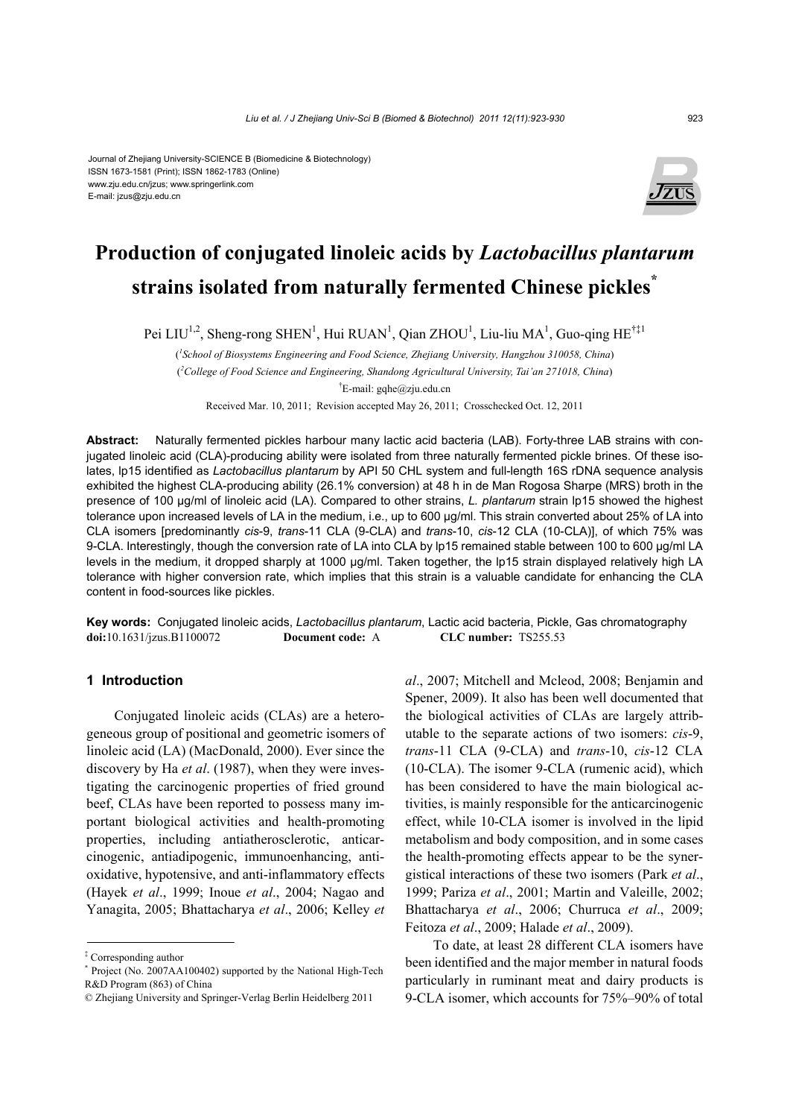#### Journal of Zhejiang University-SCIENCE B (Biomedicine & Biotechnology) ISSN 1673-1581 (Print); ISSN 1862-1783 (Online) www.zju.edu.cn/jzus; www.springerlink.com E-mail: jzus@zju.edu.cn



# **Production of conjugated linoleic acids by** *Lactobacillus plantarum*  **strains isolated from naturally fermented Chinese pickles\***

Pei LIU<sup>1,2</sup>, Sheng-rong SHEN<sup>1</sup>, Hui RUAN<sup>1</sup>, Qian ZHOU<sup>1</sup>, Liu-liu MA<sup>1</sup>, Guo-qing HE<sup>†‡1</sup>

( *1 School of Biosystems Engineering and Food Science, Zhejiang University, Hangzhou 310058, China*) ( *2 College of Food Science and Engineering, Shandong Agricultural University, Tai'an 271018, China*)  $E$ -mail: gqhe@zju.edu.cn

Received Mar. 10, 2011; Revision accepted May 26, 2011; Crosschecked Oct. 12, 2011

**Abstract:** Naturally fermented pickles harbour many lactic acid bacteria (LAB). Forty-three LAB strains with conjugated linoleic acid (CLA)-producing ability were isolated from three naturally fermented pickle brines. Of these isolates, lp15 identified as *Lactobacillus plantarum* by API 50 CHL system and full-length 16S rDNA sequence analysis exhibited the highest CLA-producing ability (26.1% conversion) at 48 h in de Man Rogosa Sharpe (MRS) broth in the presence of 100 µg/ml of linoleic acid (LA). Compared to other strains, *L. plantarum* strain lp15 showed the highest tolerance upon increased levels of LA in the medium, i.e., up to 600 µg/ml. This strain converted about 25% of LA into CLA isomers [predominantly *cis*-9, *trans*-11 CLA (9-CLA) and *trans*-10, *cis*-12 CLA (10-CLA)], of which 75% was 9-CLA. Interestingly, though the conversion rate of LA into CLA by lp15 remained stable between 100 to 600 µg/ml LA levels in the medium, it dropped sharply at 1000 µg/ml. Taken together, the lp15 strain displayed relatively high LA tolerance with higher conversion rate, which implies that this strain is a valuable candidate for enhancing the CLA content in food-sources like pickles.

**Key words:** Conjugated linoleic acids, *Lactobacillus plantarum*, Lactic acid bacteria, Pickle, Gas chromatography **doi:**10.1631/jzus.B1100072 **Document code:** A **CLC number:** TS255.53

# **1 Introduction**

Conjugated linoleic acids (CLAs) are a heterogeneous group of positional and geometric isomers of linoleic acid (LA) (MacDonald, 2000). Ever since the discovery by Ha *et al*. (1987), when they were investigating the carcinogenic properties of fried ground beef, CLAs have been reported to possess many important biological activities and health-promoting properties, including antiatherosclerotic, anticarcinogenic, antiadipogenic, immunoenhancing, antioxidative, hypotensive, and anti-inflammatory effects (Hayek *et al*., 1999; Inoue *et al*., 2004; Nagao and Yanagita, 2005; Bhattacharya *et al*., 2006; Kelley *et*  *al*., 2007; Mitchell and Mcleod, 2008; Benjamin and Spener, 2009). It also has been well documented that the biological activities of CLAs are largely attributable to the separate actions of two isomers: *cis*-9, *trans*-11 CLA (9-CLA) and *trans*-10, *cis*-12 CLA (10-CLA). The isomer 9-CLA (rumenic acid), which has been considered to have the main biological activities, is mainly responsible for the anticarcinogenic effect, while 10-CLA isomer is involved in the lipid metabolism and body composition, and in some cases the health-promoting effects appear to be the synergistical interactions of these two isomers (Park *et al*., 1999; Pariza *et al*., 2001; Martin and Valeille, 2002; Bhattacharya *et al*., 2006; Churruca *et al*., 2009; Feitoza *et al*., 2009; Halade *et al*., 2009).

To date, at least 28 different CLA isomers have been identified and the major member in natural foods particularly in ruminant meat and dairy products is 9-CLA isomer, which accounts for 75%–90% of total

<sup>‡</sup> Corresponding author

<sup>\*</sup> Project (No. 2007AA100402) supported by the National High-Tech R&D Program (863) of China

<sup>©</sup> Zhejiang University and Springer-Verlag Berlin Heidelberg 2011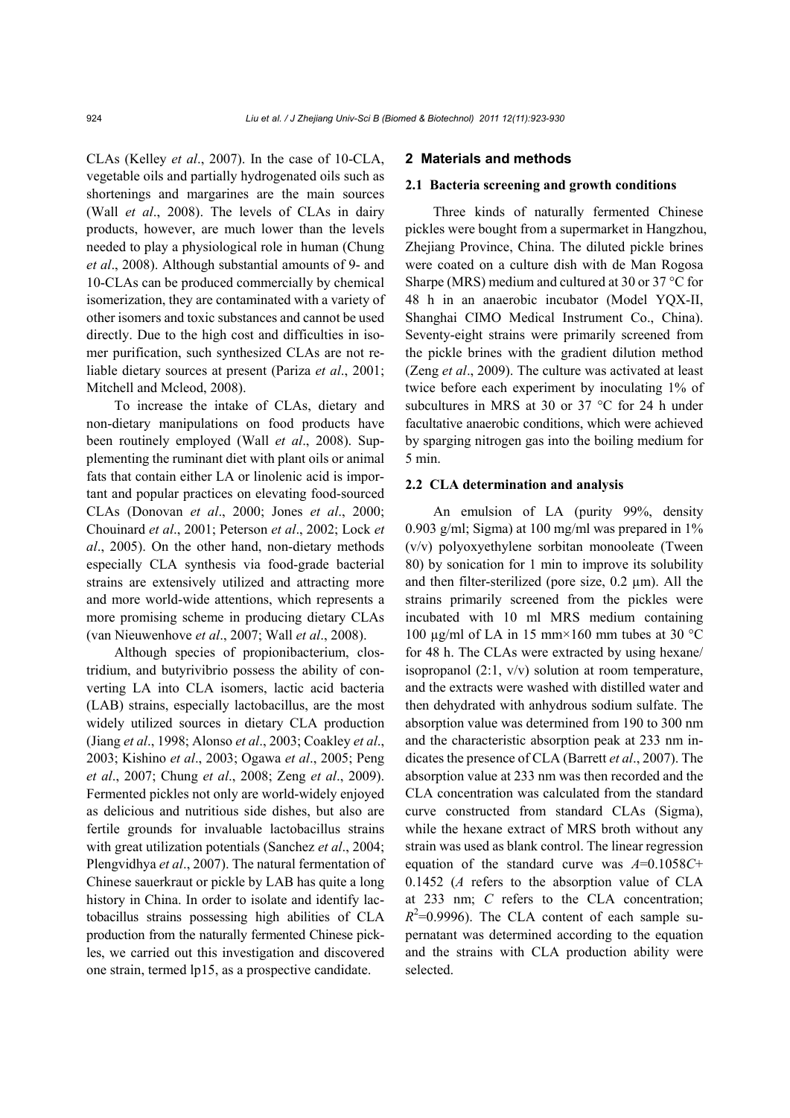CLAs (Kelley *et al*., 2007). In the case of 10-CLA, vegetable oils and partially hydrogenated oils such as shortenings and margarines are the main sources (Wall *et al*., 2008). The levels of CLAs in dairy products, however, are much lower than the levels needed to play a physiological role in human (Chung *et al*., 2008). Although substantial amounts of 9- and 10-CLAs can be produced commercially by chemical isomerization, they are contaminated with a variety of other isomers and toxic substances and cannot be used directly. Due to the high cost and difficulties in isomer purification, such synthesized CLAs are not reliable dietary sources at present (Pariza *et al*., 2001; Mitchell and Mcleod, 2008).

To increase the intake of CLAs, dietary and non-dietary manipulations on food products have been routinely employed (Wall *et al*., 2008). Supplementing the ruminant diet with plant oils or animal fats that contain either LA or linolenic acid is important and popular practices on elevating food-sourced CLAs (Donovan *et al*., 2000; Jones *et al*., 2000; Chouinard *et al*., 2001; Peterson *et al*., 2002; Lock *et al*., 2005). On the other hand, non-dietary methods especially CLA synthesis via food-grade bacterial strains are extensively utilized and attracting more and more world-wide attentions, which represents a more promising scheme in producing dietary CLAs (van Nieuwenhove *et al*., 2007; Wall *et al*., 2008).

Although species of propionibacterium, clostridium, and butyrivibrio possess the ability of converting LA into CLA isomers, lactic acid bacteria (LAB) strains, especially lactobacillus, are the most widely utilized sources in dietary CLA production (Jiang *et al*., 1998; Alonso *et al*., 2003; Coakley *et al*., 2003; Kishino *et al*., 2003; Ogawa *et al*., 2005; Peng *et al*., 2007; Chung *et al*., 2008; Zeng *et al*., 2009). Fermented pickles not only are world-widely enjoyed as delicious and nutritious side dishes, but also are fertile grounds for invaluable lactobacillus strains with great utilization potentials (Sanchez *et al*., 2004; Plengvidhya *et al*., 2007). The natural fermentation of Chinese sauerkraut or pickle by LAB has quite a long history in China. In order to isolate and identify lactobacillus strains possessing high abilities of CLA production from the naturally fermented Chinese pickles, we carried out this investigation and discovered one strain, termed lp15, as a prospective candidate.

#### **2 Materials and methods**

#### **2.1 Bacteria screening and growth conditions**

Three kinds of naturally fermented Chinese pickles were bought from a supermarket in Hangzhou, Zhejiang Province, China. The diluted pickle brines were coated on a culture dish with de Man Rogosa Sharpe (MRS) medium and cultured at 30 or 37 °C for 48 h in an anaerobic incubator (Model YQX-II, Shanghai CIMO Medical Instrument Co., China). Seventy-eight strains were primarily screened from the pickle brines with the gradient dilution method (Zeng *et al*., 2009). The culture was activated at least twice before each experiment by inoculating 1% of subcultures in MRS at 30 or 37 °C for 24 h under facultative anaerobic conditions, which were achieved by sparging nitrogen gas into the boiling medium for 5 min.

## **2.2 CLA determination and analysis**

An emulsion of LA (purity 99%, density 0.903 g/ml; Sigma) at 100 mg/ml was prepared in  $1\%$ (v/v) polyoxyethylene sorbitan monooleate (Tween 80) by sonication for 1 min to improve its solubility and then filter-sterilized (pore size, 0.2 µm). All the strains primarily screened from the pickles were incubated with 10 ml MRS medium containing 100 µg/ml of LA in 15 mm×160 mm tubes at 30 °C for 48 h. The CLAs were extracted by using hexane/ isopropanol  $(2:1, v/v)$  solution at room temperature, and the extracts were washed with distilled water and then dehydrated with anhydrous sodium sulfate. The absorption value was determined from 190 to 300 nm and the characteristic absorption peak at 233 nm indicates the presence of CLA (Barrett *et al*., 2007). The absorption value at 233 nm was then recorded and the CLA concentration was calculated from the standard curve constructed from standard CLAs (Sigma), while the hexane extract of MRS broth without any strain was used as blank control. The linear regression equation of the standard curve was *A*=0.1058*C*+ 0.1452 (*A* refers to the absorption value of CLA at 233 nm; *C* refers to the CLA concentration;  $R^2$ =0.9996). The CLA content of each sample supernatant was determined according to the equation and the strains with CLA production ability were selected.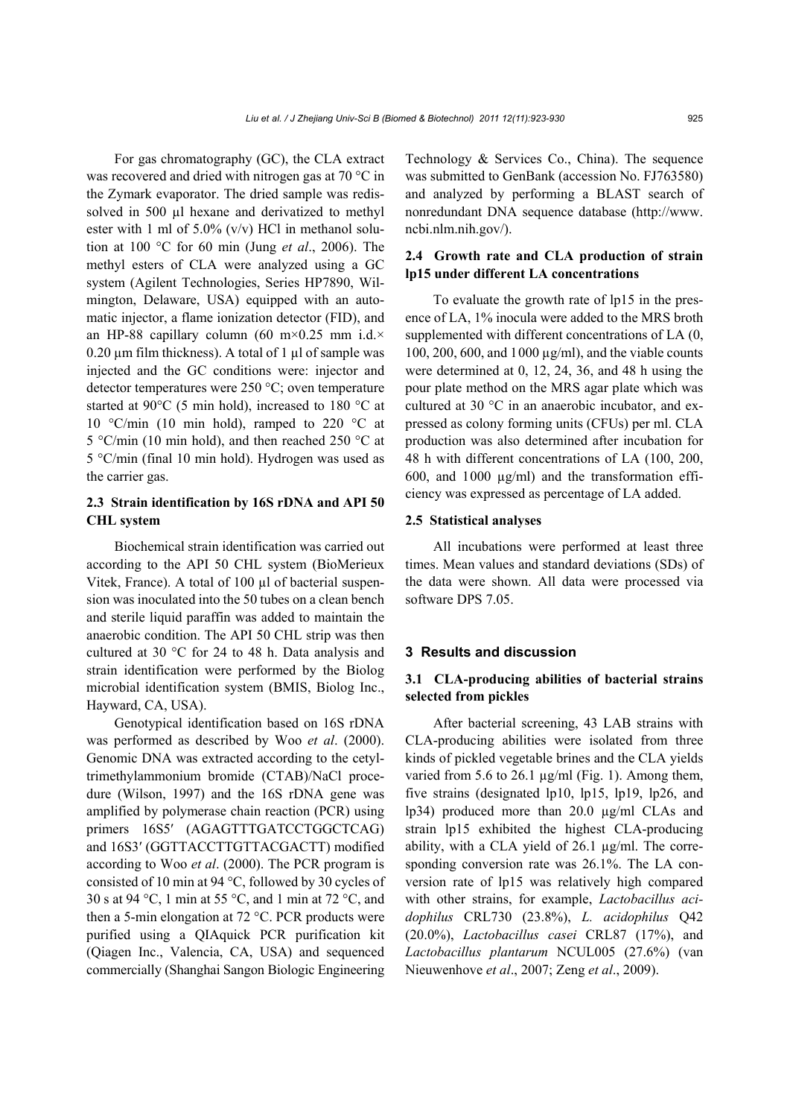For gas chromatography (GC), the CLA extract was recovered and dried with nitrogen gas at 70 °C in the Zymark evaporator. The dried sample was redissolved in 500 µl hexane and derivatized to methyl ester with 1 ml of 5.0%  $(v/v)$  HCl in methanol solution at 100 °C for 60 min (Jung *et al*., 2006). The methyl esters of CLA were analyzed using a GC system (Agilent Technologies, Series HP7890, Wilmington, Delaware, USA) equipped with an automatic injector, a flame ionization detector (FID), and an HP-88 capillary column (60 m×0.25 mm i.d.×  $0.20 \mu m$  film thickness). A total of 1  $\mu$ l of sample was injected and the GC conditions were: injector and detector temperatures were 250 °C; oven temperature started at 90°C (5 min hold), increased to 180 °C at 10  $\degree$ C/min (10 min hold), ramped to 220  $\degree$ C at 5 °C/min (10 min hold), and then reached 250 °C at 5 °C/min (final 10 min hold). Hydrogen was used as the carrier gas.

# **2.3 Strain identification by 16S rDNA and API 50 CHL system**

Biochemical strain identification was carried out according to the API 50 CHL system (BioMerieux Vitek, France). A total of 100 µl of bacterial suspension was inoculated into the 50 tubes on a clean bench and sterile liquid paraffin was added to maintain the anaerobic condition. The API 50 CHL strip was then cultured at 30 °C for 24 to 48 h. Data analysis and strain identification were performed by the Biolog microbial identification system (BMIS, Biolog Inc., Hayward, CA, USA).

Genotypical identification based on 16S rDNA was performed as described by Woo *et al*. (2000). Genomic DNA was extracted according to the cetyltrimethylammonium bromide (CTAB)/NaCl procedure (Wilson, 1997) and the 16S rDNA gene was amplified by polymerase chain reaction (PCR) using primers 16S5' (AGAGTTTGATCCTGGCTCAG) and 16S3′ (GGTTACCTTGTTACGACTT) modified according to Woo *et al*. (2000). The PCR program is consisted of 10 min at 94 °C, followed by 30 cycles of 30 s at 94 °C, 1 min at 55 °C, and 1 min at 72 °C, and then a 5-min elongation at 72 °C. PCR products were purified using a QIAquick PCR purification kit (Qiagen Inc., Valencia, CA, USA) and sequenced commercially (Shanghai Sangon Biologic Engineering Technology & Services Co., China). The sequence was submitted to GenBank (accession No. FJ763580) and analyzed by performing a BLAST search of nonredundant DNA sequence database (http://www. ncbi.nlm.nih.gov/).

# **2.4 Growth rate and CLA production of strain lp15 under different LA concentrations**

To evaluate the growth rate of lp15 in the presence of LA, 1% inocula were added to the MRS broth supplemented with different concentrations of LA (0, 100, 200, 600, and 1000 µg/ml), and the viable counts were determined at 0, 12, 24, 36, and 48 h using the pour plate method on the MRS agar plate which was cultured at 30 °C in an anaerobic incubator, and expressed as colony forming units (CFUs) per ml. CLA production was also determined after incubation for 48 h with different concentrations of LA (100, 200, 600, and 1000  $\mu$ g/ml) and the transformation efficiency was expressed as percentage of LA added.

#### **2.5 Statistical analyses**

All incubations were performed at least three times. Mean values and standard deviations (SDs) of the data were shown. All data were processed via software DPS 7.05.

## **3 Results and discussion**

# **3.1 CLA-producing abilities of bacterial strains selected from pickles**

After bacterial screening, 43 LAB strains with CLA-producing abilities were isolated from three kinds of pickled vegetable brines and the CLA yields varied from 5.6 to 26.1  $\mu$ g/ml (Fig. 1). Among them, five strains (designated lp10, lp15, lp19, lp26, and lp34) produced more than 20.0 µg/ml CLAs and strain lp15 exhibited the highest CLA-producing ability, with a CLA yield of 26.1 µg/ml. The corresponding conversion rate was 26.1%. The LA conversion rate of lp15 was relatively high compared with other strains, for example, *Lactobacillus acidophilus* CRL730 (23.8%), *L. acidophilus* Q42 (20.0%), *Lactobacillus casei* CRL87 (17%), and *Lactobacillus plantarum* NCUL005 (27.6%) (van Nieuwenhove *et al*., 2007; Zeng *et al*., 2009).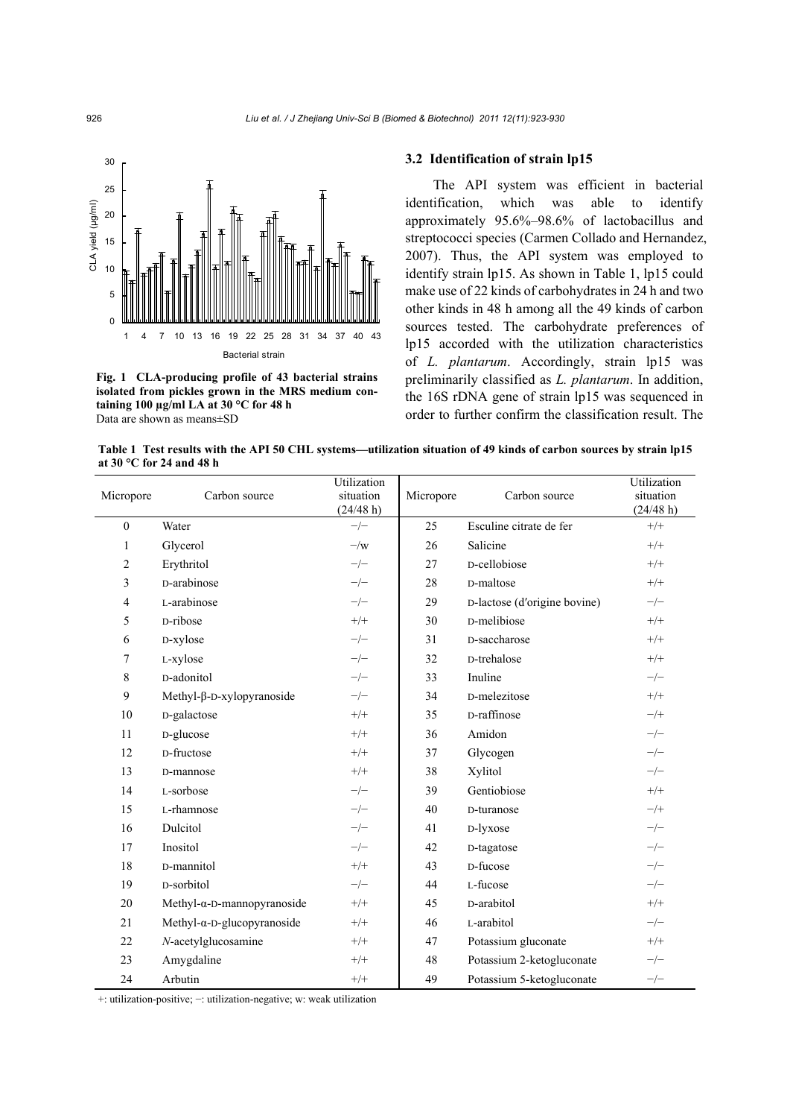

**Fig. 1 CLA-producing profile of 43 bacterial strains isolated from pickles grown in the MRS medium containing 100 µg/ml LA at 30 °C for 48 h**  Data are shown as means±SD

## **3.2 Identification of strain lp15**

The API system was efficient in bacterial identification, which was able to identify approximately 95.6%–98.6% of lactobacillus and streptococci species (Carmen Collado and Hernandez, 2007). Thus, the API system was employed to identify strain lp15. As shown in Table 1, lp15 could make use of 22 kinds of carbohydrates in 24 h and two other kinds in 48 h among all the 49 kinds of carbon sources tested. The carbohydrate preferences of lp15 accorded with the utilization characteristics of *L. plantarum*. Accordingly, strain lp15 was preliminarily classified as *L. plantarum*. In addition, the 16S rDNA gene of strain lp15 was sequenced in order to further confirm the classification result. The

**Table 1 Test results with the API 50 CHL systems—utilization situation of 49 kinds of carbon sources by strain lp15 at 30 °C for 24 and 48 h** 

| Micropore      | Carbon source                       | Utilization<br>situation<br>(24/48 h) | Micropore | Carbon source                | Utilization<br>situation<br>(24/48 h) |
|----------------|-------------------------------------|---------------------------------------|-----------|------------------------------|---------------------------------------|
| $\mathbf{0}$   | Water                               | $-/-$                                 | 25        | Esculine citrate de fer      | $+/+$                                 |
| 1              | Glycerol                            | $-\sqrt{w}$                           | 26        | Salicine                     | $+/+$                                 |
| $\overline{c}$ | Erythritol                          | $-/-$                                 | 27        | D-cellobiose                 | $+/+$                                 |
| 3              | D-arabinose                         | $-/-$                                 | 28        | D-maltose                    | $+/+$                                 |
| 4              | L-arabinose                         | $-/-$                                 | 29        | D-lactose (d'origine bovine) | $-/-$                                 |
| 5              | D-ribose                            | $^{+/+}$                              | 30        | D-melibiose                  | $+/+$                                 |
| 6              | D-xylose                            | $-/-$                                 | 31        | D-saccharose                 | $+/+$                                 |
| 7              | L-xylose                            | $-/-$                                 | 32        | D-trehalose                  | $+/+$                                 |
| 8              | D-adonitol                          | $-/-$                                 | 33        | Inuline                      | $-/-$                                 |
| 9              | Methyl-β-D-xylopyranoside           | $-/-$                                 | 34        | D-melezitose                 | $+/+$                                 |
| 10             | D-galactose                         | $+/+$                                 | 35        | D-raffinose                  | $-/+$                                 |
| 11             | D-glucose                           | $+/+$                                 | 36        | Amidon                       | $-/-$                                 |
| 12             | D-fructose                          | $+/+$                                 | 37        | Glycogen                     | $-/-$                                 |
| 13             | D-mannose                           | $+/+$                                 | 38        | Xylitol                      | $-/-$                                 |
| 14             | L-sorbose                           | $-/-$                                 | 39        | Gentiobiose                  | $+/+$                                 |
| 15             | L-rhamnose                          | $-/-$                                 | 40        | D-turanose                   | $-/+$                                 |
| 16             | Dulcitol                            | $-/-$                                 | 41        | D-lyxose                     | $-/-$                                 |
| 17             | Inositol                            | $-/-$                                 | 42        | D-tagatose                   | $-/-$                                 |
| 18             | D-mannitol                          | $^{+/+}$                              | 43        | D-fucose                     | $-/-$                                 |
| 19             | D-sorbitol                          | $-/-$                                 | 44        | L-fucose                     | $-/-$                                 |
| 20             | Methyl- $\alpha$ -D-mannopyranoside | $^{+/+}$                              | 45        | D-arabitol                   | $+/+$                                 |
| 21             | Methyl- $\alpha$ -D-glucopyranoside | $^{+/+}$                              | 46        | L-arabitol                   | $-/-$                                 |
| 22             | N-acetylglucosamine                 | $^{+/+}$                              | 47        | Potassium gluconate          | $+/+$                                 |
| 23             | Amygdaline                          | $^{+/+}$                              | 48        | Potassium 2-ketogluconate    | $-/-$                                 |
| 24             | Arbutin                             | $+/+$                                 | 49        | Potassium 5-ketogluconate    | $-/-$                                 |

+: utilization-positive; −: utilization-negative; w: weak utilization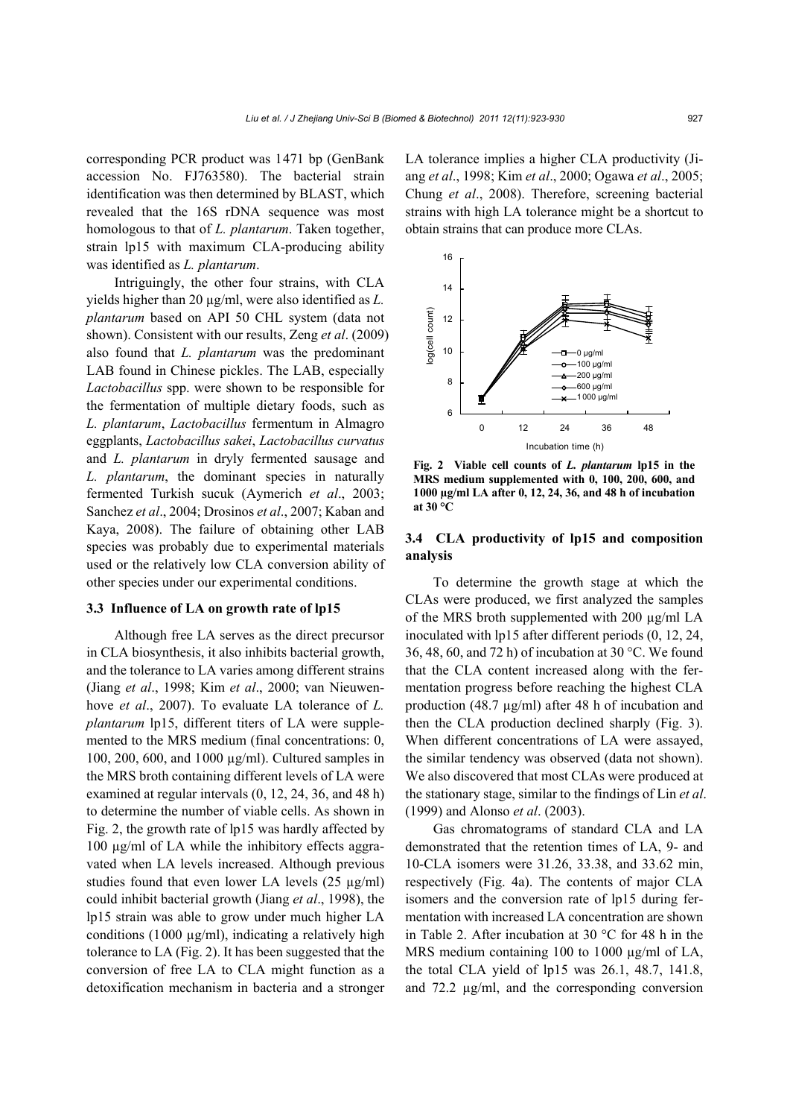corresponding PCR product was 1471 bp (GenBank accession No. FJ763580). The bacterial strain identification was then determined by BLAST, which revealed that the 16S rDNA sequence was most homologous to that of *L. plantarum*. Taken together, strain lp15 with maximum CLA-producing ability was identified as *L. plantarum*.

Intriguingly, the other four strains, with CLA yields higher than 20 µg/ml, were also identified as *L. plantarum* based on API 50 CHL system (data not shown). Consistent with our results, Zeng *et al*. (2009) also found that *L. plantarum* was the predominant LAB found in Chinese pickles. The LAB, especially *Lactobacillus* spp. were shown to be responsible for the fermentation of multiple dietary foods, such as *L. plantarum*, *Lactobacillus* fermentum in Almagro eggplants, *Lactobacillus sakei*, *Lactobacillus curvatus* and *L. plantarum* in dryly fermented sausage and *L. plantarum*, the dominant species in naturally fermented Turkish sucuk (Aymerich *et al*., 2003; Sanchez *et al*., 2004; Drosinos *et al*., 2007; Kaban and Kaya, 2008). The failure of obtaining other LAB species was probably due to experimental materials used or the relatively low CLA conversion ability of other species under our experimental conditions.

#### **3.3 Influence of LA on growth rate of lp15**

Although free LA serves as the direct precursor in CLA biosynthesis, it also inhibits bacterial growth, and the tolerance to LA varies among different strains (Jiang *et al*., 1998; Kim *et al*., 2000; van Nieuwenhove *et al.*, 2007). To evaluate LA tolerance of *L*. *plantarum* lp15, different titers of LA were supplemented to the MRS medium (final concentrations: 0, 100, 200, 600, and 1000 µg/ml). Cultured samples in the MRS broth containing different levels of LA were examined at regular intervals (0, 12, 24, 36, and 48 h) to determine the number of viable cells. As shown in Fig. 2, the growth rate of lp15 was hardly affected by 100 µg/ml of LA while the inhibitory effects aggravated when LA levels increased. Although previous studies found that even lower LA levels (25 µg/ml) could inhibit bacterial growth (Jiang *et al*., 1998), the lp15 strain was able to grow under much higher LA conditions (1000  $\mu$ g/ml), indicating a relatively high tolerance to LA (Fig. 2). It has been suggested that the conversion of free LA to CLA might function as a detoxification mechanism in bacteria and a stronger

LA tolerance implies a higher CLA productivity (Jiang *et al*., 1998; Kim *et al*., 2000; Ogawa *et al*., 2005; Chung *et al*., 2008). Therefore, screening bacterial strains with high LA tolerance might be a shortcut to obtain strains that can produce more CLAs.



**Fig. 2 Viable cell counts of** *L. plantarum* **lp15 in the MRS medium supplemented with 0, 100, 200, 600, and 1000 µg/ml LA after 0, 12, 24, 36, and 48 h of incubation at 30 °C**

## **3.4 CLA productivity of lp15 and composition analysis**

To determine the growth stage at which the CLAs were produced, we first analyzed the samples of the MRS broth supplemented with 200 µg/ml LA inoculated with lp15 after different periods (0, 12, 24, 36, 48, 60, and 72 h) of incubation at 30 °C. We found that the CLA content increased along with the fermentation progress before reaching the highest CLA production (48.7 µg/ml) after 48 h of incubation and then the CLA production declined sharply (Fig. 3). When different concentrations of LA were assayed, the similar tendency was observed (data not shown). We also discovered that most CLAs were produced at the stationary stage, similar to the findings of Lin *et al*. (1999) and Alonso *et al*. (2003).

Gas chromatograms of standard CLA and LA demonstrated that the retention times of LA, 9- and 10-CLA isomers were 31.26, 33.38, and 33.62 min, respectively (Fig. 4a). The contents of major CLA isomers and the conversion rate of lp15 during fermentation with increased LA concentration are shown in Table 2. After incubation at 30 °C for 48 h in the MRS medium containing 100 to 1000  $\mu$ g/ml of LA, the total CLA yield of lp15 was 26.1, 48.7, 141.8, and 72.2 µg/ml, and the corresponding conversion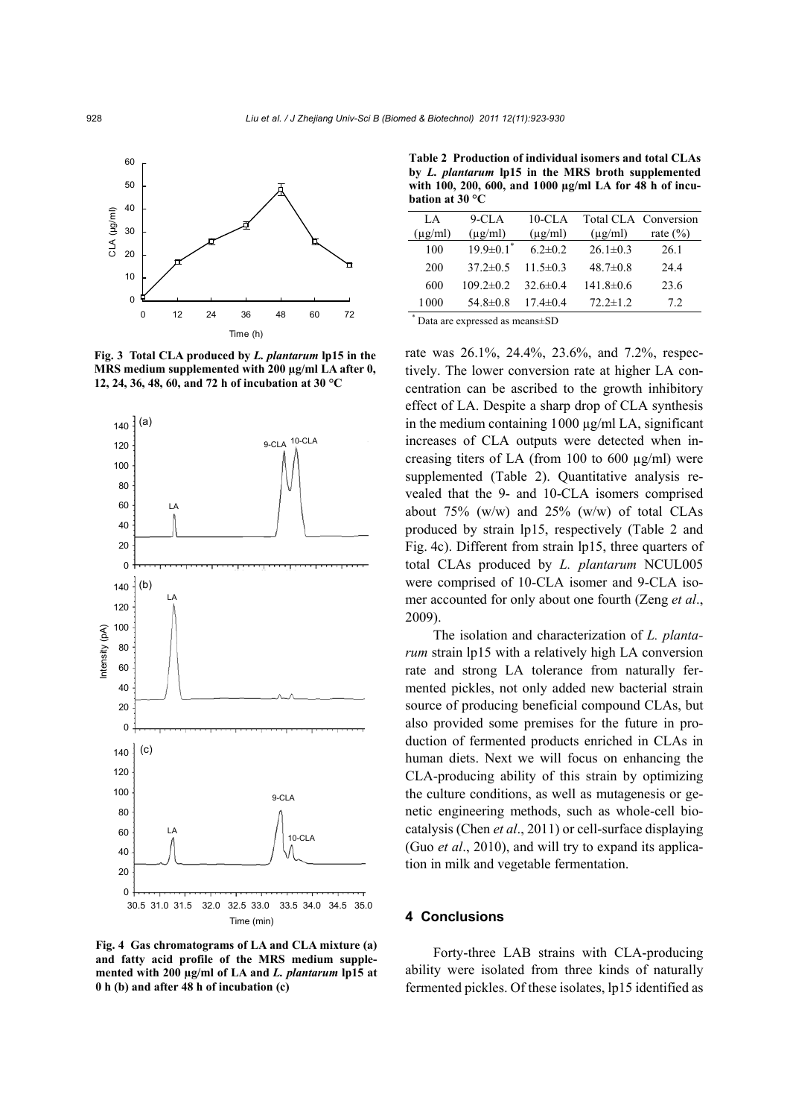

**Fig. 3 Total CLA produced by** *L. plantarum* **lp15 in the MRS medium supplemented with 200 µg/ml LA after 0, 12, 24, 36, 48, 60, and 72 h of incubation at 30 °C** 



**Fig. 4 Gas chromatograms of LA and CLA mixture (a) and fatty acid profile of the MRS medium supplemented with 200 µg/ml of LA and** *L. plantarum* **lp15 at 0 h (b) and after 48 h of incubation (c)** 

**Table 2 Production of individual isomers and total CLAs by** *L. plantarum* **lp15 in the MRS broth supplemented with 100, 200, 600, and 1000 µg/ml LA for 48 h of incubation at 30 °C**

| LA.          | $9$ -CLA                    | 10-CLA         |                | Total CLA Conversion |
|--------------|-----------------------------|----------------|----------------|----------------------|
| $(\mu g/ml)$ | $(\mu g/ml)$                | $(\mu$ g/ml)   | $(\mu g/ml)$   | rate $(\% )$         |
| 100          | $19.9 \pm 0.1$ <sup>*</sup> | $6.2 \pm 0.2$  | $26.1 \pm 0.3$ | 26.1                 |
| 200          | $37.2 \pm 0.5$              | 11 5 $\pm$ 0 3 | $48.7 \pm 0.8$ | 244                  |
| 600          | $109.2 \pm 0.2$             | 32.6 $\pm$ 0.4 | 141.8±0.6      | 23.6                 |
| 1 000        | 54.8 $\pm$ 0.8              | $17.4 \pm 0.4$ | $72.2 \pm 1.2$ | 72                   |
|              |                             |                |                |                      |

\* Data are expressed as means±SD

rate was 26.1%, 24.4%, 23.6%, and 7.2%, respectively. The lower conversion rate at higher LA concentration can be ascribed to the growth inhibitory effect of LA. Despite a sharp drop of CLA synthesis in the medium containing 1000 µg/ml LA, significant increases of CLA outputs were detected when increasing titers of LA (from 100 to 600  $\mu$ g/ml) were supplemented (Table 2). Quantitative analysis revealed that the 9- and 10-CLA isomers comprised about  $75\%$  (w/w) and  $25\%$  (w/w) of total CLAs produced by strain lp15, respectively (Table 2 and Fig. 4c). Different from strain lp15, three quarters of total CLAs produced by *L. plantarum* NCUL005 were comprised of 10-CLA isomer and 9-CLA isomer accounted for only about one fourth (Zeng *et al*., 2009).

The isolation and characterization of *L. plantarum* strain lp15 with a relatively high LA conversion rate and strong LA tolerance from naturally fermented pickles, not only added new bacterial strain source of producing beneficial compound CLAs, but also provided some premises for the future in production of fermented products enriched in CLAs in human diets. Next we will focus on enhancing the CLA-producing ability of this strain by optimizing the culture conditions, as well as mutagenesis or genetic engineering methods, such as whole-cell biocatalysis (Chen *et al*., 2011) or cell-surface displaying (Guo *et al*., 2010), and will try to expand its application in milk and vegetable fermentation.

### **4 Conclusions**

Forty-three LAB strains with CLA-producing ability were isolated from three kinds of naturally fermented pickles. Of these isolates, lp15 identified as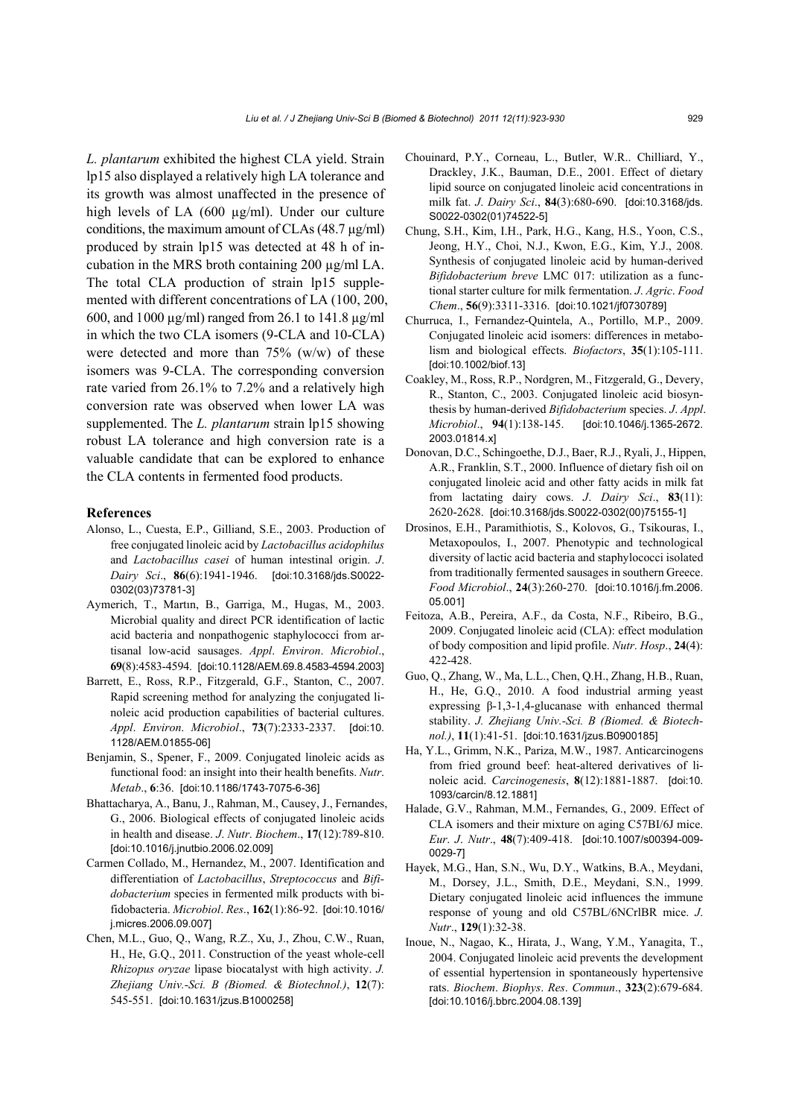*L. plantarum* exhibited the highest CLA yield. Strain lp15 also displayed a relatively high LA tolerance and its growth was almost unaffected in the presence of high levels of LA (600 µg/ml). Under our culture conditions, the maximum amount of CLAs  $(48.7 \mu g/ml)$ produced by strain lp15 was detected at 48 h of incubation in the MRS broth containing 200 µg/ml LA. The total CLA production of strain lp15 supplemented with different concentrations of LA (100, 200, 600, and 1000 µg/ml) ranged from 26.1 to 141.8 µg/ml in which the two CLA isomers (9-CLA and 10-CLA) were detected and more than  $75\%$  (w/w) of these isomers was 9-CLA. The corresponding conversion rate varied from 26.1% to 7.2% and a relatively high conversion rate was observed when lower LA was supplemented. The *L. plantarum* strain lp15 showing robust LA tolerance and high conversion rate is a valuable candidate that can be explored to enhance the CLA contents in fermented food products.

#### **References**

- Alonso, L., Cuesta, E.P., Gilliand, S.E., 2003. Production of free conjugated linoleic acid by *Lactobacillus acidophilus* and *Lactobacillus casei* of human intestinal origin. *J*. *Dairy Sci*., **86**(6):1941-1946. [doi:10.3168/jds.S0022- 0302(03)73781-3]
- Aymerich, T., Martın, B., Garriga, M., Hugas, M., 2003. Microbial quality and direct PCR identification of lactic acid bacteria and nonpathogenic staphylococci from artisanal low-acid sausages. *Appl*. *Environ*. *Microbiol*., **69**(8):4583-4594. [doi:10.1128/AEM.69.8.4583-4594.2003]
- Barrett, E., Ross, R.P., Fitzgerald, G.F., Stanton, C., 2007. Rapid screening method for analyzing the conjugated linoleic acid production capabilities of bacterial cultures. *Appl*. *Environ*. *Microbiol*., **73**(7):2333-2337. [doi:10. 1128/AEM.01855-06]
- Benjamin, S., Spener, F., 2009. Conjugated linoleic acids as functional food: an insight into their health benefits. *Nutr*. *Metab*., **6**:36. [doi:10.1186/1743-7075-6-36]
- Bhattacharya, A., Banu, J., Rahman, M., Causey, J., Fernandes, G., 2006. Biological effects of conjugated linoleic acids in health and disease. *J*. *Nutr*. *Biochem*., **17**(12):789-810. [doi:10.1016/j.jnutbio.2006.02.009]
- Carmen Collado, M., Hernandez, M., 2007. Identification and differentiation of *Lactobacillus*, *Streptococcus* and *Bifidobacterium* species in fermented milk products with bifidobacteria. *Microbiol*. *Res*., **162**(1):86-92. [doi:10.1016/ j.micres.2006.09.007]
- Chen, M.L., Guo, Q., Wang, R.Z., Xu, J., Zhou, C.W., Ruan, H., He, G.Q., 2011. Construction of the yeast whole-cell *Rhizopus oryzae* lipase biocatalyst with high activity. *J. Zhejiang Univ.-Sci. B (Biomed. & Biotechnol.)*, **12**(7): 545-551. [doi:10.1631/jzus.B1000258]
- Chouinard, P.Y., Corneau, L., Butler, W.R.. Chilliard, Y., Drackley, J.K., Bauman, D.E., 2001. Effect of dietary lipid source on conjugated linoleic acid concentrations in milk fat. *J*. *Dairy Sci*., **84**(3):680-690. [doi:10.3168/jds. S0022-0302(01)74522-5]
- Chung, S.H., Kim, I.H., Park, H.G., Kang, H.S., Yoon, C.S., Jeong, H.Y., Choi, N.J., Kwon, E.G., Kim, Y.J., 2008. Synthesis of conjugated linoleic acid by human-derived *Bifidobacterium breve* LMC 017: utilization as a functional starter culture for milk fermentation. *J*. *Agric*. *Food Chem*., **56**(9):3311-3316. [doi:10.1021/jf0730789]
- Churruca, I., Fernandez-Quintela, A., Portillo, M.P., 2009. Conjugated linoleic acid isomers: differences in metabolism and biological effects. *Biofactors*, **35**(1):105-111. [doi:10.1002/biof.13]
- Coakley, M., Ross, R.P., Nordgren, M., Fitzgerald, G., Devery, R., Stanton, C., 2003. Conjugated linoleic acid biosynthesis by human-derived *Bifidobacterium* species. *J*. *Appl*. *Microbiol*., **94**(1):138-145. [doi:10.1046/j.1365-2672. 2003.01814.x]
- Donovan, D.C., Schingoethe, D.J., Baer, R.J., Ryali, J., Hippen, A.R., Franklin, S.T., 2000. Influence of dietary fish oil on conjugated linoleic acid and other fatty acids in milk fat from lactating dairy cows. *J*. *Dairy Sci*., **83**(11): 2620-2628. [doi:10.3168/jds.S0022-0302(00)75155-1]
- Drosinos, E.H., Paramithiotis, S., Kolovos, G., Tsikouras, I., Metaxopoulos, I., 2007. Phenotypic and technological diversity of lactic acid bacteria and staphylococci isolated from traditionally fermented sausages in southern Greece. *Food Microbiol*., **24**(3):260-270. [doi:10.1016/j.fm.2006. 05.001]
- Feitoza, A.B., Pereira, A.F., da Costa, N.F., Ribeiro, B.G., 2009. Conjugated linoleic acid (CLA): effect modulation of body composition and lipid profile. *Nutr*. *Hosp*., **24**(4): 422-428.
- Guo, Q., Zhang, W., Ma, L.L., Chen, Q.H., Zhang, H.B., Ruan, H., He, G.Q., 2010. A food industrial arming yeast expressing β-1,3-1,4-glucanase with enhanced thermal stability. *J. Zhejiang Univ.-Sci. B (Biomed. & Biotechnol.)*, **11**(1):41-51. [doi:10.1631/jzus.B0900185]
- Ha, Y.L., Grimm, N.K., Pariza, M.W., 1987. Anticarcinogens from fried ground beef: heat-altered derivatives of linoleic acid. *Carcinogenesis*, **8**(12):1881-1887. [doi:10. 1093/carcin/8.12.1881]
- Halade, G.V., Rahman, M.M., Fernandes, G., 2009. Effect of CLA isomers and their mixture on aging C57BI/6J mice. *Eur*. *J*. *Nutr*., **48**(7):409-418. [doi:10.1007/s00394-009- 0029-7]
- Hayek, M.G., Han, S.N., Wu, D.Y., Watkins, B.A., Meydani, M., Dorsey, J.L., Smith, D.E., Meydani, S.N., 1999. Dietary conjugated linoleic acid influences the immune response of young and old C57BL/6NCrlBR mice. *J*. *Nutr*., **129**(1):32-38.
- Inoue, N., Nagao, K., Hirata, J., Wang, Y.M., Yanagita, T., 2004. Conjugated linoleic acid prevents the development of essential hypertension in spontaneously hypertensive rats. *Biochem*. *Biophys*. *Res*. *Commun*., **323**(2):679-684. [doi:10.1016/j.bbrc.2004.08.139]